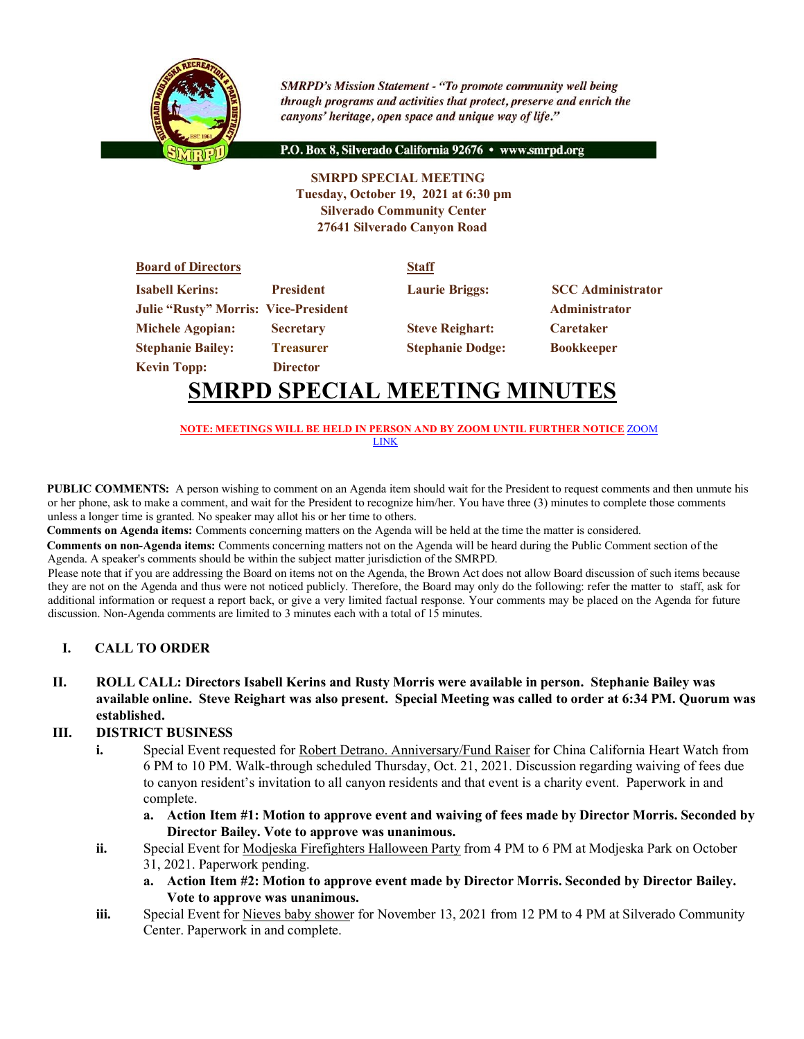

**SMRPD's Mission Statement - "To promote community well being** through programs and activities that protect, preserve and enrich the canyons' heritage, open space and unique way of life."

P.O. Box 8, Silverado California 92676 · www.smrpd.org

**SMRPD SPECIAL MEETING Tuesday, October 19, 2021 at 6:30 pm Silverado Community Center 27641 Silverado Canyon Road**

| <b>Board of Directors</b>                   |                  | <b>Staff</b>            |                          |
|---------------------------------------------|------------------|-------------------------|--------------------------|
| <b>Isabell Kerins:</b>                      | <b>President</b> | <b>Laurie Briggs:</b>   | <b>SCC</b> Administrator |
| <b>Julie "Rusty" Morris: Vice-President</b> |                  |                         | <b>Administrator</b>     |
| <b>Michele Agopian:</b>                     | <b>Secretary</b> | <b>Steve Reighart:</b>  | <b>Caretaker</b>         |
| <b>Stephanie Bailey:</b>                    | <b>Treasurer</b> | <b>Stephanie Dodge:</b> | <b>Bookkeeper</b>        |
| <b>Kevin Topp:</b>                          | <b>Director</b>  |                         |                          |

## **SMRPD SPECIAL MEETING MINUTES**

**NOTE: MEETINGS WILL BE HELD IN PERSON AND BY ZOOM UNTIL FURTHER NOTICE** ZOOM LINK

**PUBLIC COMMENTS:** A person wishing to comment on an Agenda item should wait for the President to request comments and then unmute his or her phone, ask to make a comment, and wait for the President to recognize him/her. You have three (3) minutes to complete those comments unless a longer time is granted. No speaker may allot his or her time to others.

**Comments on Agenda items:** Comments concerning matters on the Agenda will be held at the time the matter is considered.

**Comments on non-Agenda items:** Comments concerning matters not on the Agenda will be heard during the Public Comment section of the Agenda. A speaker's comments should be within the subject matter jurisdiction of the SMRPD.

Please note that if you are addressing the Board on items not on the Agenda, the Brown Act does not allow Board discussion of such items because they are not on the Agenda and thus were not noticed publicly. Therefore, the Board may only do the following: refer the matter to staff, ask for additional information or request a report back, or give a very limited factual response. Your comments may be placed on the Agenda for future discussion. Non-Agenda comments are limited to 3 minutes each with a total of 15 minutes.

## **I. CALL TO ORDER**

**II. ROLL CALL: Directors Isabell Kerins and Rusty Morris were available in person. Stephanie Bailey was available online. Steve Reighart was also present. Special Meeting was called to order at 6:34 PM. Quorum was established.**

## **III. DISTRICT BUSINESS**

- **i.** Special Event requested for Robert Detrano. Anniversary/Fund Raiser for China California Heart Watch from 6 PM to 10 PM. Walk-through scheduled Thursday, Oct. 21, 2021. Discussion regarding waiving of fees due to canyon resident's invitation to all canyon residents and that event is a charity event. Paperwork in and complete.
	- **a. Action Item #1: Motion to approve event and waiving of fees made by Director Morris. Seconded by Director Bailey. Vote to approve was unanimous.**
- **ii.** Special Event for Modjeska Firefighters Halloween Party from 4 PM to 6 PM at Modjeska Park on October 31, 2021. Paperwork pending.
	- **a. Action Item #2: Motion to approve event made by Director Morris. Seconded by Director Bailey. Vote to approve was unanimous.**
- **iii.** Special Event for Nieves baby shower for November 13, 2021 from 12 PM to 4 PM at Silverado Community Center. Paperwork in and complete.